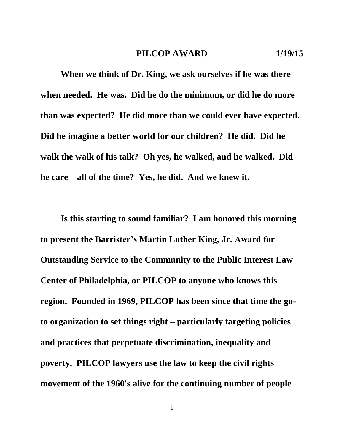**When we think of Dr. King, we ask ourselves if he was there when needed. He was. Did he do the minimum, or did he do more than was expected? He did more than we could ever have expected. Did he imagine a better world for our children? He did. Did he walk the walk of his talk? Oh yes, he walked, and he walked. Did he care – all of the time? Yes, he did. And we knew it.** 

**Is this starting to sound familiar? I am honored this morning to present the Barrister's Martin Luther King, Jr. Award for Outstanding Service to the Community to the Public Interest Law Center of Philadelphia, or PILCOP to anyone who knows this region. Founded in 1969, PILCOP has been since that time the goto organization to set things right – particularly targeting policies and practices that perpetuate discrimination, inequality and poverty. PILCOP lawyers use the law to keep the civil rights movement of the 1960's alive for the continuing number of people**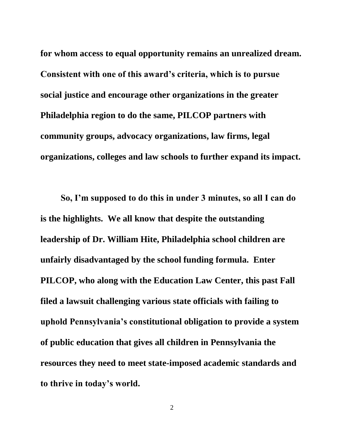**for whom access to equal opportunity remains an unrealized dream. Consistent with one of this award's criteria, which is to pursue social justice and encourage other organizations in the greater Philadelphia region to do the same, PILCOP partners with community groups, advocacy organizations, law firms, legal organizations, colleges and law schools to further expand its impact.** 

**So, I'm supposed to do this in under 3 minutes, so all I can do is the highlights. We all know that despite the outstanding leadership of Dr. William Hite, Philadelphia school children are unfairly disadvantaged by the school funding formula. Enter PILCOP, who along with the Education Law Center, this past Fall filed a lawsuit challenging various state officials with failing to uphold Pennsylvania's constitutional obligation to provide a system of public education that gives all children in Pennsylvania the resources they need to meet state-imposed academic standards and to thrive in today's world.**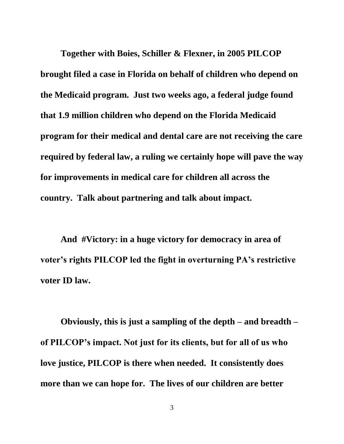**Together with Boies, Schiller & Flexner, in 2005 PILCOP brought filed a case in Florida on behalf of children who depend on the Medicaid program. Just two weeks ago, a federal judge found that 1.9 million children who depend on the Florida Medicaid program for their medical and dental care are not receiving the care required by federal law, a ruling we certainly hope will pave the way for improvements in medical care for children all across the country. Talk about partnering and talk about impact.**

**And #Victory: in a huge victory for democracy in area of voter's rights PILCOP led the fight in overturning PA's restrictive voter ID law.**

**Obviously, this is just a sampling of the depth – and breadth – of PILCOP's impact. Not just for its clients, but for all of us who love justice, PILCOP is there when needed. It consistently does more than we can hope for. The lives of our children are better**